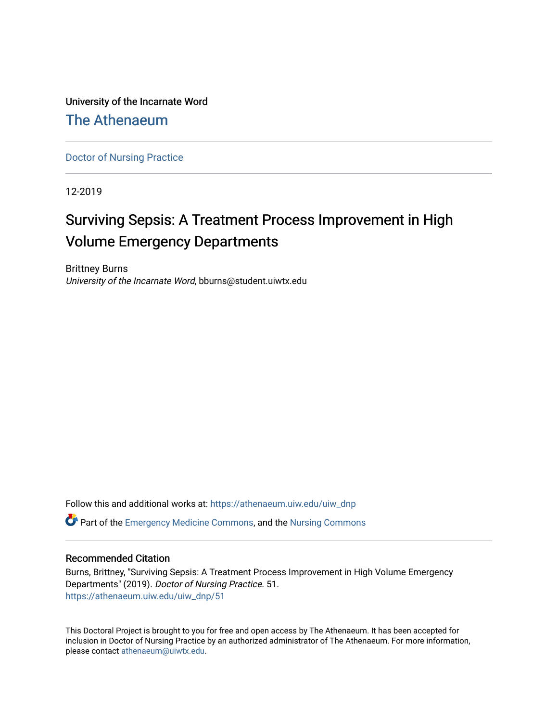University of the Incarnate Word

[The Athenaeum](https://athenaeum.uiw.edu/)

[Doctor of Nursing Practice](https://athenaeum.uiw.edu/uiw_dnp)

12-2019

# Surviving Sepsis: A Treatment Process Improvement in High Volume Emergency Departments

Brittney Burns University of the Incarnate Word, bburns@student.uiwtx.edu

Follow this and additional works at: [https://athenaeum.uiw.edu/uiw\\_dnp](https://athenaeum.uiw.edu/uiw_dnp?utm_source=athenaeum.uiw.edu%2Fuiw_dnp%2F51&utm_medium=PDF&utm_campaign=PDFCoverPages)  **C** Part of the [Emergency Medicine Commons](http://network.bepress.com/hgg/discipline/685?utm_source=athenaeum.uiw.edu%2Fuiw_dnp%2F51&utm_medium=PDF&utm_campaign=PDFCoverPages), and the Nursing Commons

#### Recommended Citation

Burns, Brittney, "Surviving Sepsis: A Treatment Process Improvement in High Volume Emergency Departments" (2019). Doctor of Nursing Practice. 51. [https://athenaeum.uiw.edu/uiw\\_dnp/51](https://athenaeum.uiw.edu/uiw_dnp/51?utm_source=athenaeum.uiw.edu%2Fuiw_dnp%2F51&utm_medium=PDF&utm_campaign=PDFCoverPages)

This Doctoral Project is brought to you for free and open access by The Athenaeum. It has been accepted for inclusion in Doctor of Nursing Practice by an authorized administrator of The Athenaeum. For more information, please contact [athenaeum@uiwtx.edu.](mailto:athenaeum@uiwtx.edu)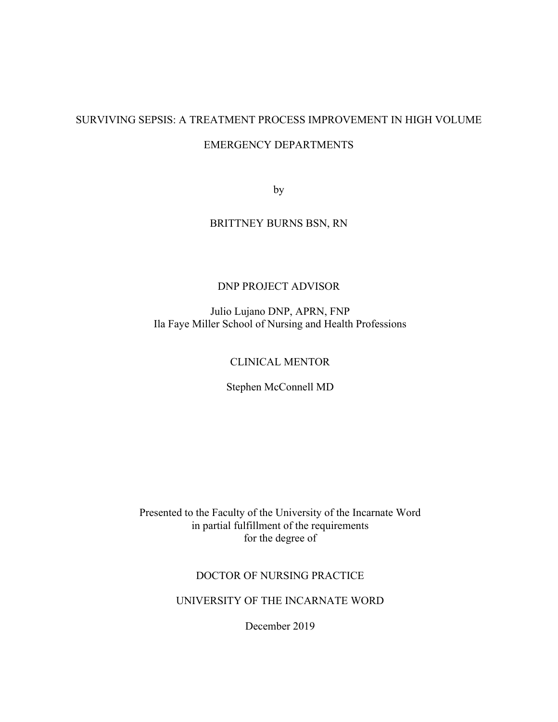# SURVIVING SEPSIS: A TREATMENT PROCESS IMPROVEMENT IN HIGH VOLUME

## EMERGENCY DEPARTMENTS

by

# BRITTNEY BURNS BSN, RN

# DNP PROJECT ADVISOR

Julio Lujano DNP, APRN, FNP Ila Faye Miller School of Nursing and Health Professions

## CLINICAL MENTOR

Stephen McConnell MD

Presented to the Faculty of the University of the Incarnate Word in partial fulfillment of the requirements for the degree of

#### DOCTOR OF NURSING PRACTICE

UNIVERSITY OF THE INCARNATE WORD

December 2019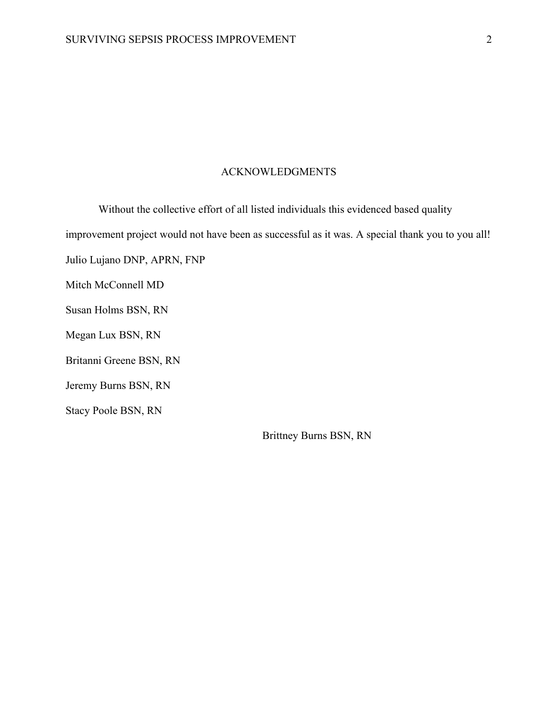## ACKNOWLEDGMENTS

Without the collective effort of all listed individuals this evidenced based quality improvement project would not have been as successful as it was. A special thank you to you all! Julio Lujano DNP, APRN, FNP Mitch McConnell MD Susan Holms BSN, RN Megan Lux BSN, RN Britanni Greene BSN, RN Jeremy Burns BSN, RN Stacy Poole BSN, RN

Brittney Burns BSN, RN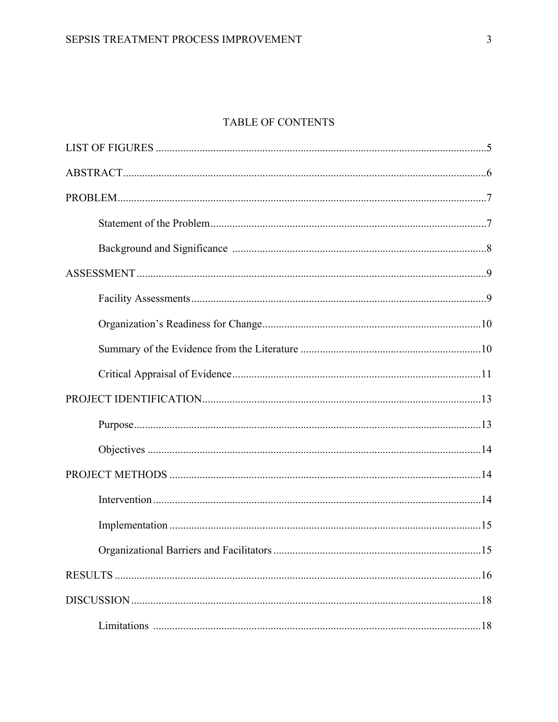# TABLE OF CONTENTS

| .15 |
|-----|
|     |
|     |
|     |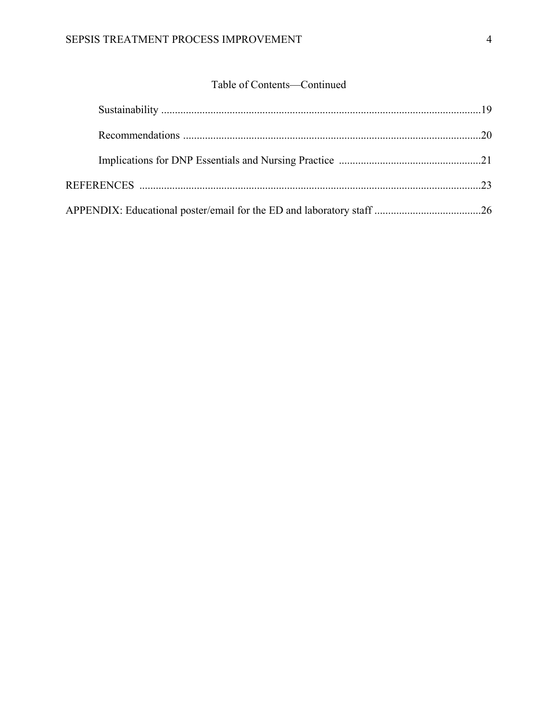# Table of Contents—Continued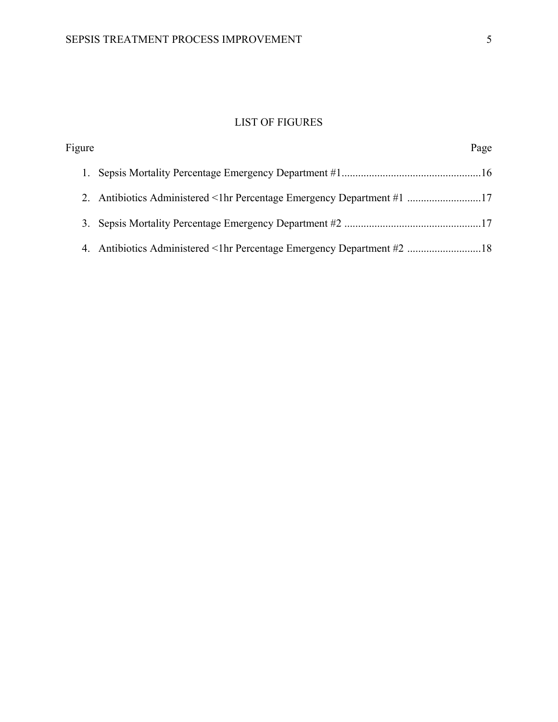# LIST OF FIGURES

| Figure | Page                                                                   |
|--------|------------------------------------------------------------------------|
|        |                                                                        |
|        | 2. Antibiotics Administered <1hr Percentage Emergency Department #1 17 |
|        |                                                                        |
|        | 4. Antibiotics Administered <1hr Percentage Emergency Department #2 18 |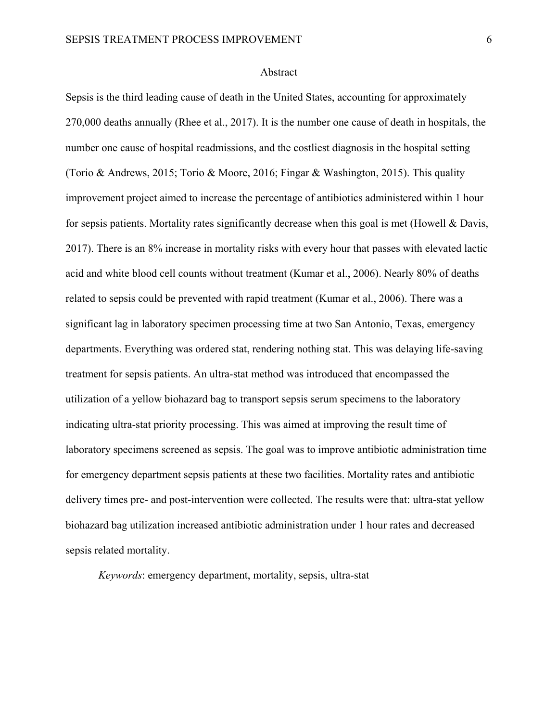#### Abstract

Sepsis is the third leading cause of death in the United States, accounting for approximately 270,000 deaths annually (Rhee et al., 2017). It is the number one cause of death in hospitals, the number one cause of hospital readmissions, and the costliest diagnosis in the hospital setting (Torio & Andrews, 2015; Torio & Moore, 2016; Fingar & Washington, 2015). This quality improvement project aimed to increase the percentage of antibiotics administered within 1 hour for sepsis patients. Mortality rates significantly decrease when this goal is met (Howell & Davis, 2017). There is an 8% increase in mortality risks with every hour that passes with elevated lactic acid and white blood cell counts without treatment (Kumar et al., 2006). Nearly 80% of deaths related to sepsis could be prevented with rapid treatment (Kumar et al., 2006). There was a significant lag in laboratory specimen processing time at two San Antonio, Texas, emergency departments. Everything was ordered stat, rendering nothing stat. This was delaying life-saving treatment for sepsis patients. An ultra-stat method was introduced that encompassed the utilization of a yellow biohazard bag to transport sepsis serum specimens to the laboratory indicating ultra-stat priority processing. This was aimed at improving the result time of laboratory specimens screened as sepsis. The goal was to improve antibiotic administration time for emergency department sepsis patients at these two facilities. Mortality rates and antibiotic delivery times pre- and post-intervention were collected. The results were that: ultra-stat yellow biohazard bag utilization increased antibiotic administration under 1 hour rates and decreased sepsis related mortality.

*Keywords*: emergency department, mortality, sepsis, ultra-stat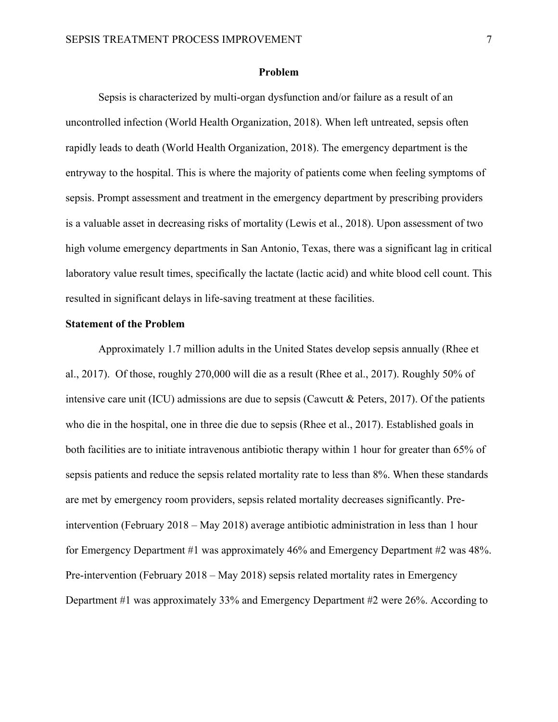#### **Problem**

Sepsis is characterized by multi-organ dysfunction and/or failure as a result of an uncontrolled infection (World Health Organization, 2018). When left untreated, sepsis often rapidly leads to death (World Health Organization, 2018). The emergency department is the entryway to the hospital. This is where the majority of patients come when feeling symptoms of sepsis. Prompt assessment and treatment in the emergency department by prescribing providers is a valuable asset in decreasing risks of mortality (Lewis et al., 2018). Upon assessment of two high volume emergency departments in San Antonio, Texas, there was a significant lag in critical laboratory value result times, specifically the lactate (lactic acid) and white blood cell count. This resulted in significant delays in life-saving treatment at these facilities.

#### **Statement of the Problem**

Approximately 1.7 million adults in the United States develop sepsis annually (Rhee et al., 2017). Of those, roughly 270,000 will die as a result (Rhee et al., 2017). Roughly 50% of intensive care unit (ICU) admissions are due to sepsis (Cawcutt & Peters, 2017). Of the patients who die in the hospital, one in three die due to sepsis (Rhee et al., 2017). Established goals in both facilities are to initiate intravenous antibiotic therapy within 1 hour for greater than 65% of sepsis patients and reduce the sepsis related mortality rate to less than 8%. When these standards are met by emergency room providers, sepsis related mortality decreases significantly. Preintervention (February 2018 – May 2018) average antibiotic administration in less than 1 hour for Emergency Department #1 was approximately 46% and Emergency Department #2 was 48%. Pre-intervention (February 2018 – May 2018) sepsis related mortality rates in Emergency Department #1 was approximately 33% and Emergency Department #2 were 26%. According to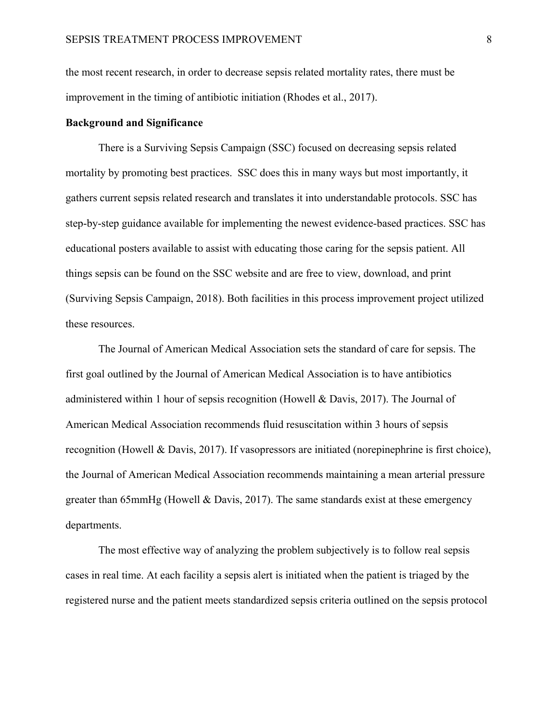the most recent research, in order to decrease sepsis related mortality rates, there must be improvement in the timing of antibiotic initiation (Rhodes et al., 2017).

#### **Background and Significance**

There is a Surviving Sepsis Campaign (SSC) focused on decreasing sepsis related mortality by promoting best practices. SSC does this in many ways but most importantly, it gathers current sepsis related research and translates it into understandable protocols. SSC has step-by-step guidance available for implementing the newest evidence-based practices. SSC has educational posters available to assist with educating those caring for the sepsis patient. All things sepsis can be found on the SSC website and are free to view, download, and print (Surviving Sepsis Campaign, 2018). Both facilities in this process improvement project utilized these resources.

The Journal of American Medical Association sets the standard of care for sepsis. The first goal outlined by the Journal of American Medical Association is to have antibiotics administered within 1 hour of sepsis recognition (Howell & Davis, 2017). The Journal of American Medical Association recommends fluid resuscitation within 3 hours of sepsis recognition (Howell & Davis, 2017). If vasopressors are initiated (norepinephrine is first choice), the Journal of American Medical Association recommends maintaining a mean arterial pressure greater than 65mmHg (Howell & Davis, 2017). The same standards exist at these emergency departments.

The most effective way of analyzing the problem subjectively is to follow real sepsis cases in real time. At each facility a sepsis alert is initiated when the patient is triaged by the registered nurse and the patient meets standardized sepsis criteria outlined on the sepsis protocol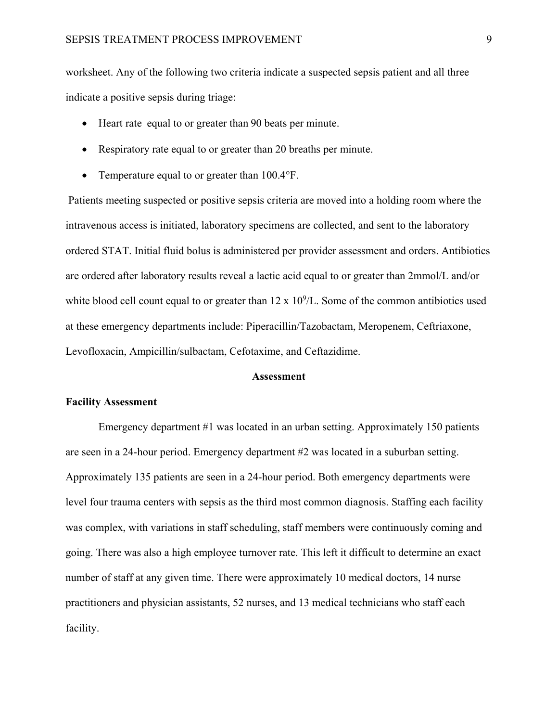worksheet. Any of the following two criteria indicate a suspected sepsis patient and all three indicate a positive sepsis during triage:

- Heart rate equal to or greater than 90 beats per minute.
- Respiratory rate equal to or greater than 20 breaths per minute.
- Temperature equal to or greater than 100.4°F.

Patients meeting suspected or positive sepsis criteria are moved into a holding room where the intravenous access is initiated, laboratory specimens are collected, and sent to the laboratory ordered STAT. Initial fluid bolus is administered per provider assessment and orders. Antibiotics are ordered after laboratory results reveal a lactic acid equal to or greater than 2mmol/L and/or white blood cell count equal to or greater than  $12 \times 10^9$ /L. Some of the common antibiotics used at these emergency departments include: Piperacillin/Tazobactam, Meropenem, Ceftriaxone, Levofloxacin, Ampicillin/sulbactam, Cefotaxime, and Ceftazidime.

#### **Assessment**

#### **Facility Assessment**

Emergency department #1 was located in an urban setting. Approximately 150 patients are seen in a 24-hour period. Emergency department #2 was located in a suburban setting. Approximately 135 patients are seen in a 24-hour period. Both emergency departments were level four trauma centers with sepsis as the third most common diagnosis. Staffing each facility was complex, with variations in staff scheduling, staff members were continuously coming and going. There was also a high employee turnover rate. This left it difficult to determine an exact number of staff at any given time. There were approximately 10 medical doctors, 14 nurse practitioners and physician assistants, 52 nurses, and 13 medical technicians who staff each facility.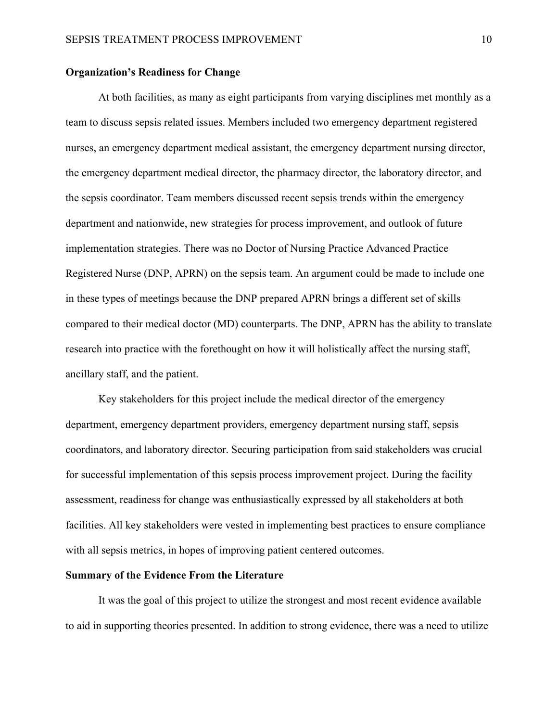#### **Organization's Readiness for Change**

At both facilities, as many as eight participants from varying disciplines met monthly as a team to discuss sepsis related issues. Members included two emergency department registered nurses, an emergency department medical assistant, the emergency department nursing director, the emergency department medical director, the pharmacy director, the laboratory director, and the sepsis coordinator. Team members discussed recent sepsis trends within the emergency department and nationwide, new strategies for process improvement, and outlook of future implementation strategies. There was no Doctor of Nursing Practice Advanced Practice Registered Nurse (DNP, APRN) on the sepsis team. An argument could be made to include one in these types of meetings because the DNP prepared APRN brings a different set of skills compared to their medical doctor (MD) counterparts. The DNP, APRN has the ability to translate research into practice with the forethought on how it will holistically affect the nursing staff, ancillary staff, and the patient.

Key stakeholders for this project include the medical director of the emergency department, emergency department providers, emergency department nursing staff, sepsis coordinators, and laboratory director. Securing participation from said stakeholders was crucial for successful implementation of this sepsis process improvement project. During the facility assessment, readiness for change was enthusiastically expressed by all stakeholders at both facilities. All key stakeholders were vested in implementing best practices to ensure compliance with all sepsis metrics, in hopes of improving patient centered outcomes.

#### **Summary of the Evidence From the Literature**

It was the goal of this project to utilize the strongest and most recent evidence available to aid in supporting theories presented. In addition to strong evidence, there was a need to utilize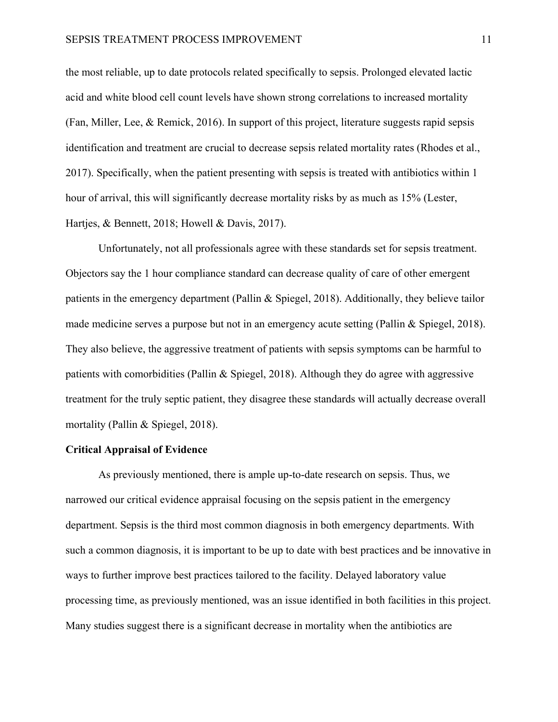the most reliable, up to date protocols related specifically to sepsis. Prolonged elevated lactic acid and white blood cell count levels have shown strong correlations to increased mortality (Fan, Miller, Lee, & Remick, 2016). In support of this project, literature suggests rapid sepsis identification and treatment are crucial to decrease sepsis related mortality rates (Rhodes et al., 2017). Specifically, when the patient presenting with sepsis is treated with antibiotics within 1 hour of arrival, this will significantly decrease mortality risks by as much as 15% (Lester, Hartjes, & Bennett, 2018; Howell & Davis, 2017).

Unfortunately, not all professionals agree with these standards set for sepsis treatment. Objectors say the 1 hour compliance standard can decrease quality of care of other emergent patients in the emergency department (Pallin & Spiegel, 2018). Additionally, they believe tailor made medicine serves a purpose but not in an emergency acute setting (Pallin & Spiegel, 2018). They also believe, the aggressive treatment of patients with sepsis symptoms can be harmful to patients with comorbidities (Pallin & Spiegel, 2018). Although they do agree with aggressive treatment for the truly septic patient, they disagree these standards will actually decrease overall mortality (Pallin & Spiegel, 2018).

#### **Critical Appraisal of Evidence**

As previously mentioned, there is ample up-to-date research on sepsis. Thus, we narrowed our critical evidence appraisal focusing on the sepsis patient in the emergency department. Sepsis is the third most common diagnosis in both emergency departments. With such a common diagnosis, it is important to be up to date with best practices and be innovative in ways to further improve best practices tailored to the facility. Delayed laboratory value processing time, as previously mentioned, was an issue identified in both facilities in this project. Many studies suggest there is a significant decrease in mortality when the antibiotics are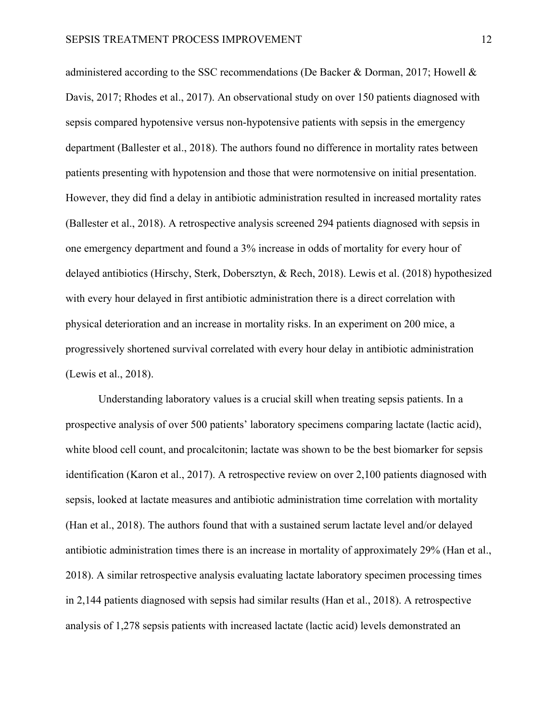administered according to the SSC recommendations (De Backer & Dorman, 2017; Howell & Davis, 2017; Rhodes et al., 2017). An observational study on over 150 patients diagnosed with sepsis compared hypotensive versus non-hypotensive patients with sepsis in the emergency department (Ballester et al., 2018). The authors found no difference in mortality rates between patients presenting with hypotension and those that were normotensive on initial presentation. However, they did find a delay in antibiotic administration resulted in increased mortality rates (Ballester et al., 2018). A retrospective analysis screened 294 patients diagnosed with sepsis in one emergency department and found a 3% increase in odds of mortality for every hour of delayed antibiotics (Hirschy, Sterk, Dobersztyn, & Rech, 2018). Lewis et al. (2018) hypothesized with every hour delayed in first antibiotic administration there is a direct correlation with physical deterioration and an increase in mortality risks. In an experiment on 200 mice, a progressively shortened survival correlated with every hour delay in antibiotic administration (Lewis et al., 2018).

Understanding laboratory values is a crucial skill when treating sepsis patients. In a prospective analysis of over 500 patients' laboratory specimens comparing lactate (lactic acid), white blood cell count, and procalcitonin; lactate was shown to be the best biomarker for sepsis identification (Karon et al., 2017). A retrospective review on over 2,100 patients diagnosed with sepsis, looked at lactate measures and antibiotic administration time correlation with mortality (Han et al., 2018). The authors found that with a sustained serum lactate level and/or delayed antibiotic administration times there is an increase in mortality of approximately 29% (Han et al., 2018). A similar retrospective analysis evaluating lactate laboratory specimen processing times in 2,144 patients diagnosed with sepsis had similar results (Han et al., 2018). A retrospective analysis of 1,278 sepsis patients with increased lactate (lactic acid) levels demonstrated an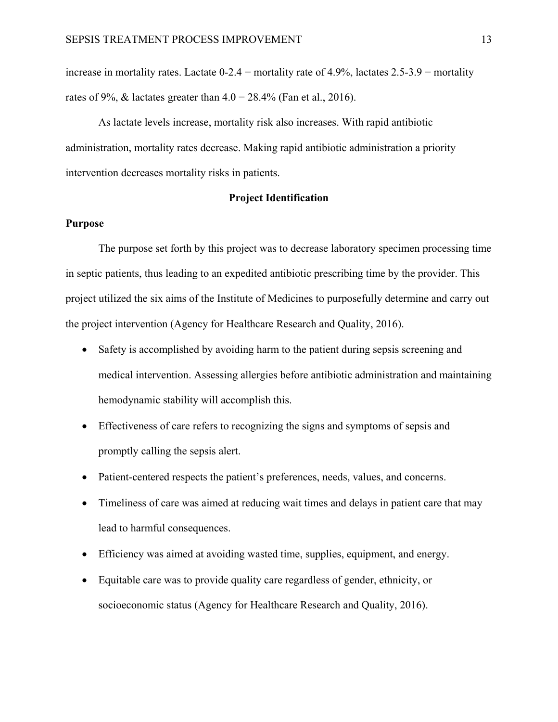increase in mortality rates. Lactate  $0-2.4$  = mortality rate of 4.9%, lactates  $2.5-3.9$  = mortality rates of 9%,  $&$  lactates greater than  $4.0 = 28.4\%$  (Fan et al., 2016).

As lactate levels increase, mortality risk also increases. With rapid antibiotic administration, mortality rates decrease. Making rapid antibiotic administration a priority intervention decreases mortality risks in patients.

#### **Project Identification**

#### **Purpose**

The purpose set forth by this project was to decrease laboratory specimen processing time in septic patients, thus leading to an expedited antibiotic prescribing time by the provider. This project utilized the six aims of the Institute of Medicines to purposefully determine and carry out the project intervention (Agency for Healthcare Research and Quality, 2016).

- Safety is accomplished by avoiding harm to the patient during sepsis screening and medical intervention. Assessing allergies before antibiotic administration and maintaining hemodynamic stability will accomplish this.
- Effectiveness of care refers to recognizing the signs and symptoms of sepsis and promptly calling the sepsis alert.
- Patient-centered respects the patient's preferences, needs, values, and concerns.
- Timeliness of care was aimed at reducing wait times and delays in patient care that may lead to harmful consequences.
- Efficiency was aimed at avoiding wasted time, supplies, equipment, and energy.
- Equitable care was to provide quality care regardless of gender, ethnicity, or socioeconomic status (Agency for Healthcare Research and Quality, 2016).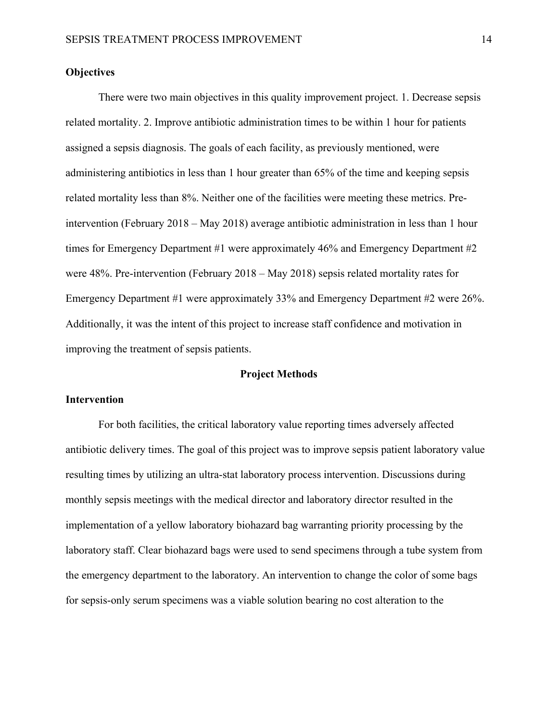## **Objectives**

There were two main objectives in this quality improvement project. 1. Decrease sepsis related mortality. 2. Improve antibiotic administration times to be within 1 hour for patients assigned a sepsis diagnosis. The goals of each facility, as previously mentioned, were administering antibiotics in less than 1 hour greater than 65% of the time and keeping sepsis related mortality less than 8%. Neither one of the facilities were meeting these metrics. Preintervention (February 2018 – May 2018) average antibiotic administration in less than 1 hour times for Emergency Department #1 were approximately 46% and Emergency Department #2 were 48%. Pre-intervention (February 2018 – May 2018) sepsis related mortality rates for Emergency Department #1 were approximately 33% and Emergency Department #2 were 26%. Additionally, it was the intent of this project to increase staff confidence and motivation in improving the treatment of sepsis patients.

#### **Project Methods**

#### **Intervention**

For both facilities, the critical laboratory value reporting times adversely affected antibiotic delivery times. The goal of this project was to improve sepsis patient laboratory value resulting times by utilizing an ultra-stat laboratory process intervention. Discussions during monthly sepsis meetings with the medical director and laboratory director resulted in the implementation of a yellow laboratory biohazard bag warranting priority processing by the laboratory staff. Clear biohazard bags were used to send specimens through a tube system from the emergency department to the laboratory. An intervention to change the color of some bags for sepsis-only serum specimens was a viable solution bearing no cost alteration to the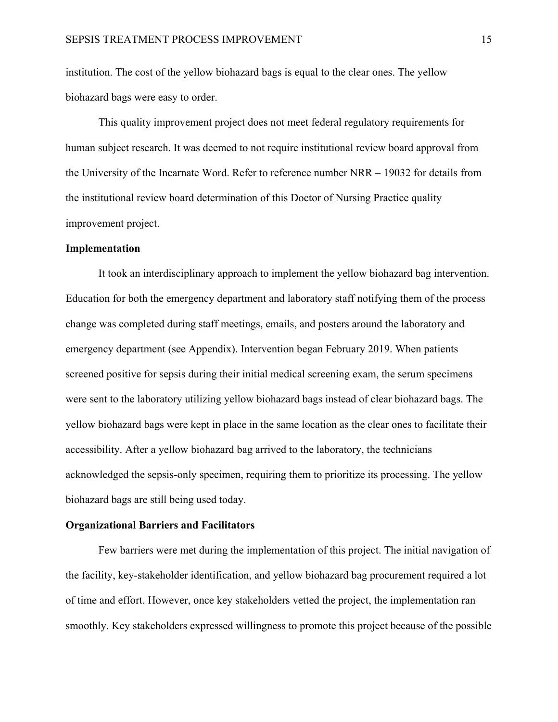institution. The cost of the yellow biohazard bags is equal to the clear ones. The yellow biohazard bags were easy to order.

This quality improvement project does not meet federal regulatory requirements for human subject research. It was deemed to not require institutional review board approval from the University of the Incarnate Word. Refer to reference number NRR – 19032 for details from the institutional review board determination of this Doctor of Nursing Practice quality improvement project.

#### **Implementation**

It took an interdisciplinary approach to implement the yellow biohazard bag intervention. Education for both the emergency department and laboratory staff notifying them of the process change was completed during staff meetings, emails, and posters around the laboratory and emergency department (see Appendix). Intervention began February 2019. When patients screened positive for sepsis during their initial medical screening exam, the serum specimens were sent to the laboratory utilizing yellow biohazard bags instead of clear biohazard bags. The yellow biohazard bags were kept in place in the same location as the clear ones to facilitate their accessibility. After a yellow biohazard bag arrived to the laboratory, the technicians acknowledged the sepsis-only specimen, requiring them to prioritize its processing. The yellow biohazard bags are still being used today.

#### **Organizational Barriers and Facilitators**

Few barriers were met during the implementation of this project. The initial navigation of the facility, key-stakeholder identification, and yellow biohazard bag procurement required a lot of time and effort. However, once key stakeholders vetted the project, the implementation ran smoothly. Key stakeholders expressed willingness to promote this project because of the possible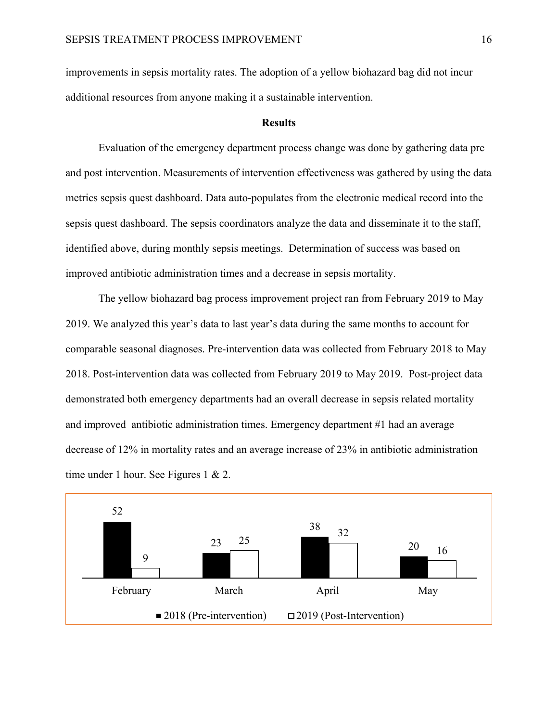improvements in sepsis mortality rates. The adoption of a yellow biohazard bag did not incur additional resources from anyone making it a sustainable intervention.

#### **Results**

Evaluation of the emergency department process change was done by gathering data pre and post intervention. Measurements of intervention effectiveness was gathered by using the data metrics sepsis quest dashboard. Data auto-populates from the electronic medical record into the sepsis quest dashboard. The sepsis coordinators analyze the data and disseminate it to the staff, identified above, during monthly sepsis meetings. Determination of success was based on improved antibiotic administration times and a decrease in sepsis mortality.

The yellow biohazard bag process improvement project ran from February 2019 to May 2019. We analyzed this year's data to last year's data during the same months to account for comparable seasonal diagnoses. Pre-intervention data was collected from February 2018 to May 2018. Post-intervention data was collected from February 2019 to May 2019. Post-project data demonstrated both emergency departments had an overall decrease in sepsis related mortality and improved antibiotic administration times. Emergency department #1 had an average decrease of 12% in mortality rates and an average increase of 23% in antibiotic administration time under 1 hour. See Figures 1 & 2.

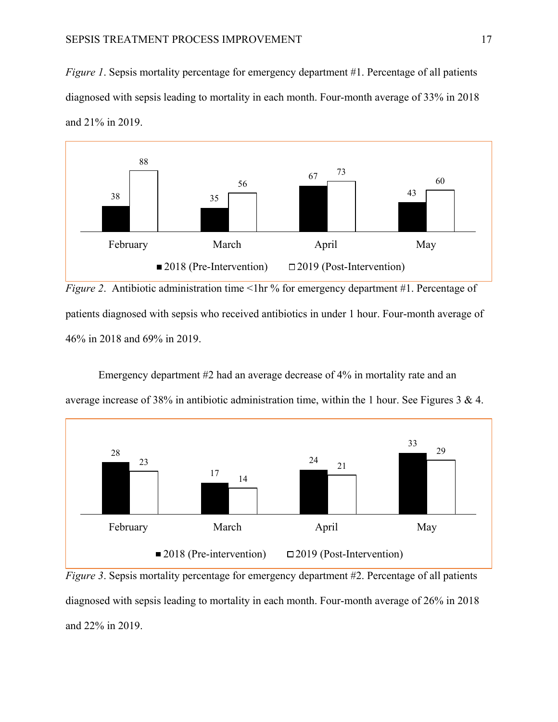*Figure 1*. Sepsis mortality percentage for emergency department #1. Percentage of all patients diagnosed with sepsis leading to mortality in each month. Four-month average of 33% in 2018 and 21% in 2019.



*Figure 2.* Antibiotic administration time <1hr % for emergency department #1. Percentage of patients diagnosed with sepsis who received antibiotics in under 1 hour. Four-month average of 46% in 2018 and 69% in 2019.

Emergency department #2 had an average decrease of 4% in mortality rate and an average increase of 38% in antibiotic administration time, within the 1 hour. See Figures 3 & 4.



*Figure 3*. Sepsis mortality percentage for emergency department #2. Percentage of all patients diagnosed with sepsis leading to mortality in each month. Four-month average of 26% in 2018 and 22% in 2019.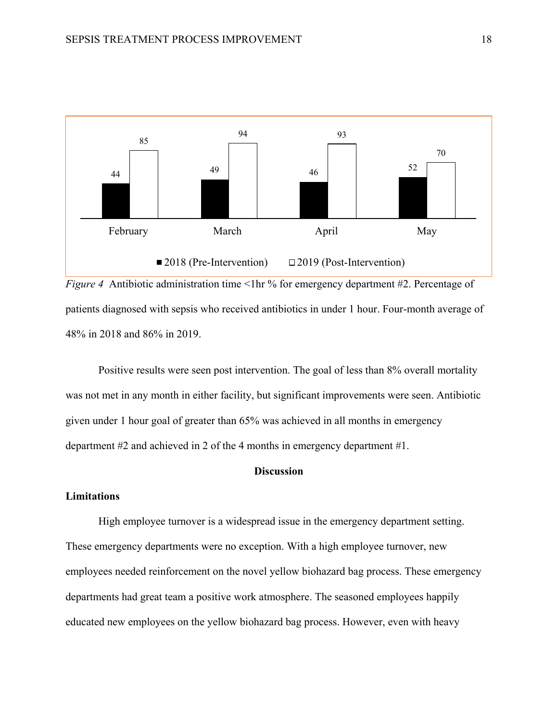



Positive results were seen post intervention. The goal of less than 8% overall mortality was not met in any month in either facility, but significant improvements were seen. Antibiotic given under 1 hour goal of greater than 65% was achieved in all months in emergency department #2 and achieved in 2 of the 4 months in emergency department #1.

### **Discussion**

## **Limitations**

High employee turnover is a widespread issue in the emergency department setting. These emergency departments were no exception. With a high employee turnover, new employees needed reinforcement on the novel yellow biohazard bag process. These emergency departments had great team a positive work atmosphere. The seasoned employees happily educated new employees on the yellow biohazard bag process. However, even with heavy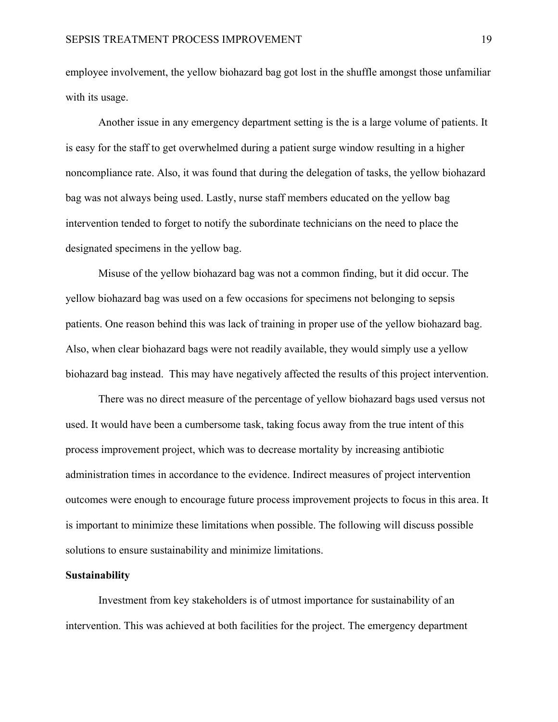employee involvement, the yellow biohazard bag got lost in the shuffle amongst those unfamiliar with its usage.

Another issue in any emergency department setting is the is a large volume of patients. It is easy for the staff to get overwhelmed during a patient surge window resulting in a higher noncompliance rate. Also, it was found that during the delegation of tasks, the yellow biohazard bag was not always being used. Lastly, nurse staff members educated on the yellow bag intervention tended to forget to notify the subordinate technicians on the need to place the designated specimens in the yellow bag.

Misuse of the yellow biohazard bag was not a common finding, but it did occur. The yellow biohazard bag was used on a few occasions for specimens not belonging to sepsis patients. One reason behind this was lack of training in proper use of the yellow biohazard bag. Also, when clear biohazard bags were not readily available, they would simply use a yellow biohazard bag instead. This may have negatively affected the results of this project intervention.

There was no direct measure of the percentage of yellow biohazard bags used versus not used. It would have been a cumbersome task, taking focus away from the true intent of this process improvement project, which was to decrease mortality by increasing antibiotic administration times in accordance to the evidence. Indirect measures of project intervention outcomes were enough to encourage future process improvement projects to focus in this area. It is important to minimize these limitations when possible. The following will discuss possible solutions to ensure sustainability and minimize limitations.

#### **Sustainability**

Investment from key stakeholders is of utmost importance for sustainability of an intervention. This was achieved at both facilities for the project. The emergency department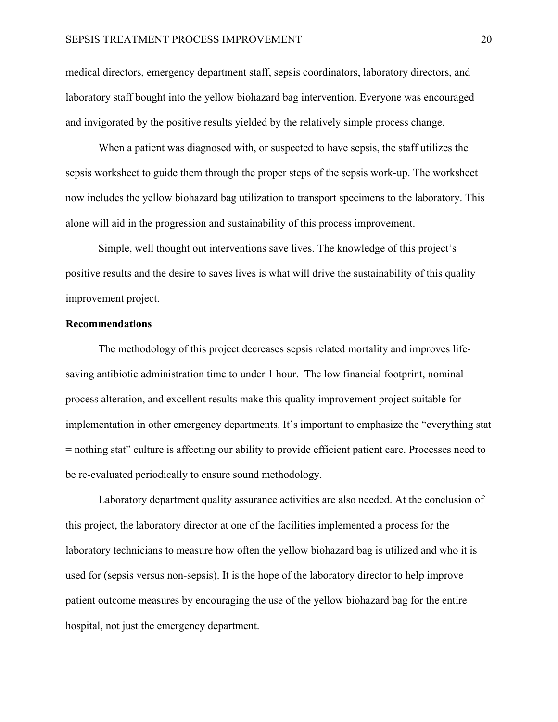medical directors, emergency department staff, sepsis coordinators, laboratory directors, and laboratory staff bought into the yellow biohazard bag intervention. Everyone was encouraged and invigorated by the positive results yielded by the relatively simple process change.

When a patient was diagnosed with, or suspected to have sepsis, the staff utilizes the sepsis worksheet to guide them through the proper steps of the sepsis work-up. The worksheet now includes the yellow biohazard bag utilization to transport specimens to the laboratory. This alone will aid in the progression and sustainability of this process improvement.

Simple, well thought out interventions save lives. The knowledge of this project's positive results and the desire to saves lives is what will drive the sustainability of this quality improvement project.

#### **Recommendations**

The methodology of this project decreases sepsis related mortality and improves lifesaving antibiotic administration time to under 1 hour. The low financial footprint, nominal process alteration, and excellent results make this quality improvement project suitable for implementation in other emergency departments. It's important to emphasize the "everything stat = nothing stat" culture is affecting our ability to provide efficient patient care. Processes need to be re-evaluated periodically to ensure sound methodology.

Laboratory department quality assurance activities are also needed. At the conclusion of this project, the laboratory director at one of the facilities implemented a process for the laboratory technicians to measure how often the yellow biohazard bag is utilized and who it is used for (sepsis versus non-sepsis). It is the hope of the laboratory director to help improve patient outcome measures by encouraging the use of the yellow biohazard bag for the entire hospital, not just the emergency department.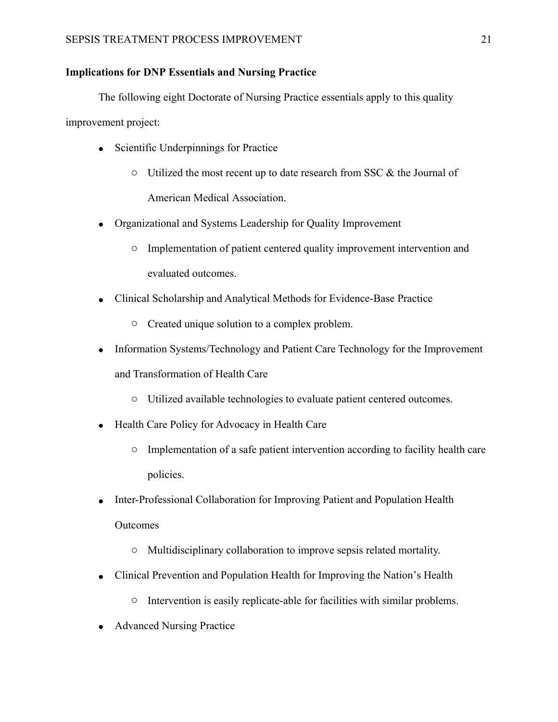## **Implications for DNP Essentials and Nursing Practice**

The following eight Doctorate of Nursing Practice essentials apply to this quality

improvement project:

- Scientific Underpinnings for Practice
	- $\circ$  Utilized the most recent up to date research from SSC & the Journal of American Medical Association.
- Organizational and Systems Leadership for Quality Improvement
	- o Implementation of patient centered quality improvement intervention and evaluated outcomes.
- Clinical Scholarship and Analytical Methods for Evidence-Base Practice
	- o Created unique solution to a complex problem.
- Information Systems/Technology and Patient Care Technology for the Improvement and Transformation of Health Care
	- o Utilized available technologies to evaluate patient centered outcomes.
- Health Care Policy for Advocacy in Health Care
	- o Implementation of a safe patient intervention according to facility health care policies.
- Inter-Professional Collaboration for Improving Patient and Population Health Outcomes
	- o Multidisciplinary collaboration to improve sepsis related mortality.
- Clinical Prevention and Population Health for Improving the Nation's Health
	- o Intervention is easily replicate-able for facilities with similar problems.
- Advanced Nursing Practice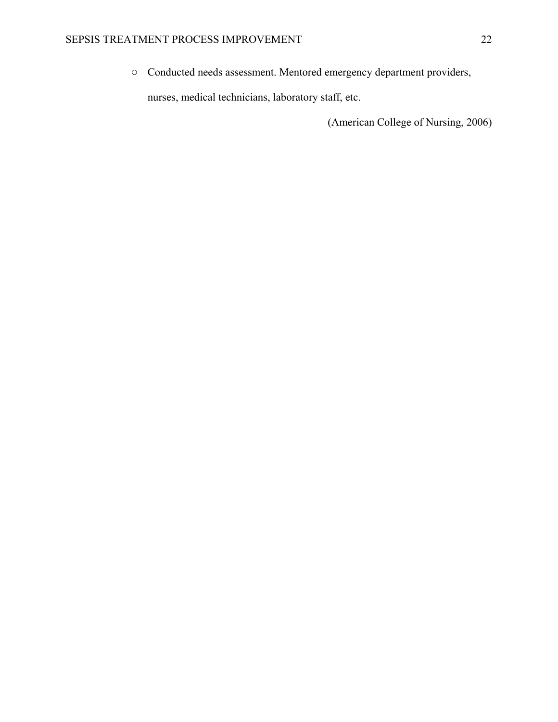o Conducted needs assessment. Mentored emergency department providers,

nurses, medical technicians, laboratory staff, etc.

(American College of Nursing, 2006)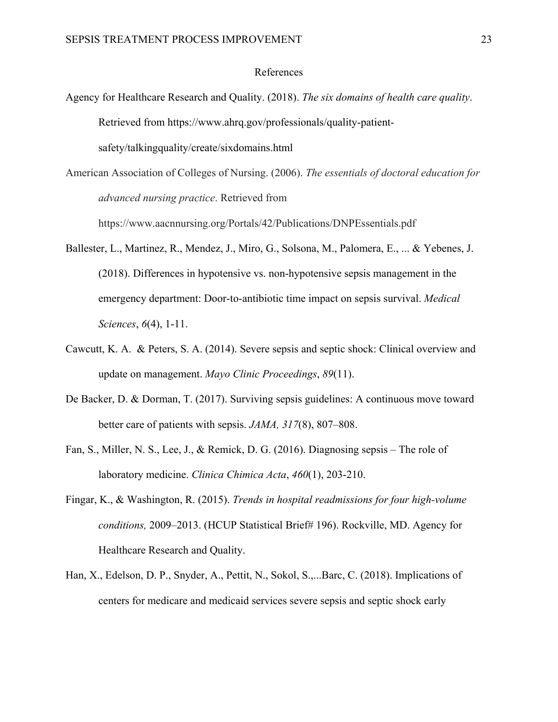#### References

Agency for Healthcare Research and Quality. (2018). *The six domains of health care quality*. Retrieved from https://www.ahrq.gov/professionals/quality-patientsafety/talkingquality/create/sixdomains.html

American Association of Colleges of Nursing. (2006). *The essentials of doctoral education for advanced nursing practice*. Retrieved from

https://www.aacnnursing.org/Portals/42/Publications/DNPEssentials.pdf

- Ballester, L., Martinez, R., Mendez, J., Miro, G., Solsona, M., Palomera, E., ... & Yebenes, J. (2018). Differences in hypotensive vs. non-hypotensive sepsis management in the emergency department: Door-to-antibiotic time impact on sepsis survival. *Medical Sciences*, *6*(4), 1-11.
- Cawcutt, K. A. & Peters, S. A. (2014). Severe sepsis and septic shock: Clinical overview and update on management. *Mayo Clinic Proceedings*, *89*(11).
- De Backer, D. & Dorman, T. (2017). Surviving sepsis guidelines: A continuous move toward better care of patients with sepsis. *JAMA, 317*(8), 807–808.
- Fan, S., Miller, N. S., Lee, J., & Remick, D. G. (2016). Diagnosing sepsis The role of laboratory medicine. *Clinica Chimica Acta*, *460*(1), 203-210.
- Fingar, K., & Washington, R. (2015). *Trends in hospital readmissions for four high-volume conditions,* 2009–2013. (HCUP Statistical Brief# 196). Rockville, MD. Agency for Healthcare Research and Quality.
- Han, X., Edelson, D. P., Snyder, A., Pettit, N., Sokol, S.,...Barc, C. (2018). Implications of centers for medicare and medicaid services severe sepsis and septic shock early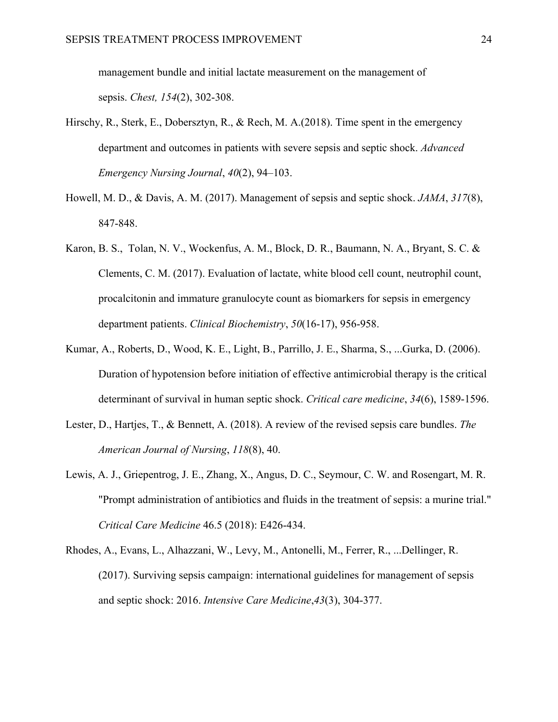management bundle and initial lactate measurement on the management of sepsis. *Chest, 154*(2), 302-308.

- Hirschy, R., Sterk, E., Dobersztyn, R., & Rech, M. A.(2018). Time spent in the emergency department and outcomes in patients with severe sepsis and septic shock. *Advanced Emergency Nursing Journal*, *40*(2), 94–103.
- Howell, M. D., & Davis, A. M. (2017). Management of sepsis and septic shock. *JAMA*, *317*(8), 847-848.
- Karon, B. S., Tolan, N. V., Wockenfus, A. M., Block, D. R., Baumann, N. A., Bryant, S. C. & Clements, C. M. (2017). Evaluation of lactate, white blood cell count, neutrophil count, procalcitonin and immature granulocyte count as biomarkers for sepsis in emergency department patients. *Clinical Biochemistry*, *50*(16-17), 956-958.
- Kumar, A., Roberts, D., Wood, K. E., Light, B., Parrillo, J. E., Sharma, S., ...Gurka, D. (2006). Duration of hypotension before initiation of effective antimicrobial therapy is the critical determinant of survival in human septic shock. *Critical care medicine*, *34*(6), 1589-1596.
- Lester, D., Hartjes, T., & Bennett, A. (2018). A review of the revised sepsis care bundles. *The American Journal of Nursing*, *118*(8), 40.
- Lewis, A. J., Griepentrog, J. E., Zhang, X., Angus, D. C., Seymour, C. W. and Rosengart, M. R. "Prompt administration of antibiotics and fluids in the treatment of sepsis: a murine trial." *Critical Care Medicine* 46.5 (2018): E426-434.
- Rhodes, A., Evans, L., Alhazzani, W., Levy, M., Antonelli, M., Ferrer, R., ...Dellinger, R. (2017). Surviving sepsis campaign: international guidelines for management of sepsis and septic shock: 2016. *Intensive Care Medicine*,*43*(3), 304-377.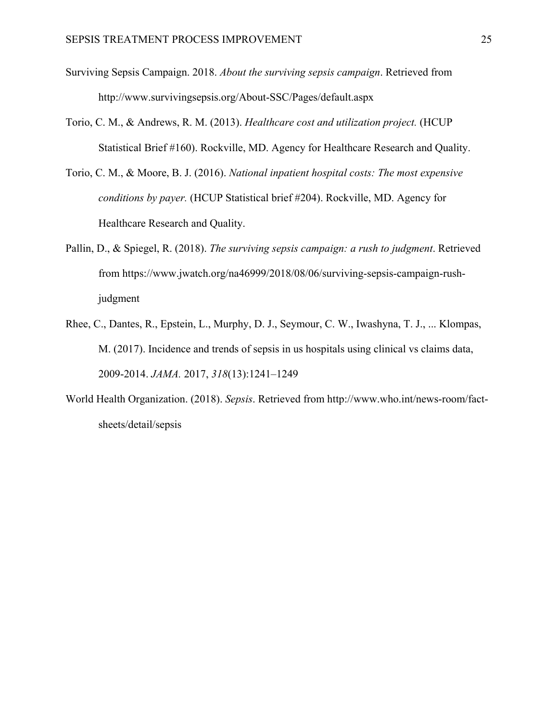- Surviving Sepsis Campaign. 2018. *About the surviving sepsis campaign*. Retrieved from http://www.survivingsepsis.org/About-SSC/Pages/default.aspx
- Torio, C. M., & Andrews, R. M. (2013). *Healthcare cost and utilization project.* (HCUP Statistical Brief #160). Rockville, MD. Agency for Healthcare Research and Quality.
- Torio, C. M., & Moore, B. J. (2016). *National inpatient hospital costs: The most expensive conditions by payer.* (HCUP Statistical brief #204). Rockville, MD. Agency for Healthcare Research and Quality.
- Pallin, D., & Spiegel, R. (2018). *The surviving sepsis campaign: a rush to judgment*. Retrieved from https://www.jwatch.org/na46999/2018/08/06/surviving-sepsis-campaign-rushjudgment
- Rhee, C., Dantes, R., Epstein, L., Murphy, D. J., Seymour, C. W., Iwashyna, T. J., ... Klompas, M. (2017). Incidence and trends of sepsis in us hospitals using clinical vs claims data, 2009-2014. *JAMA.* 2017, *318*(13):1241–1249
- World Health Organization. (2018). *Sepsis*. Retrieved from [http://www.who.int/news-room/fact](http://www.who.int/news-room/fact-sheets/detail/sepsis)[sheets/detail/sepsis](http://www.who.int/news-room/fact-sheets/detail/sepsis)